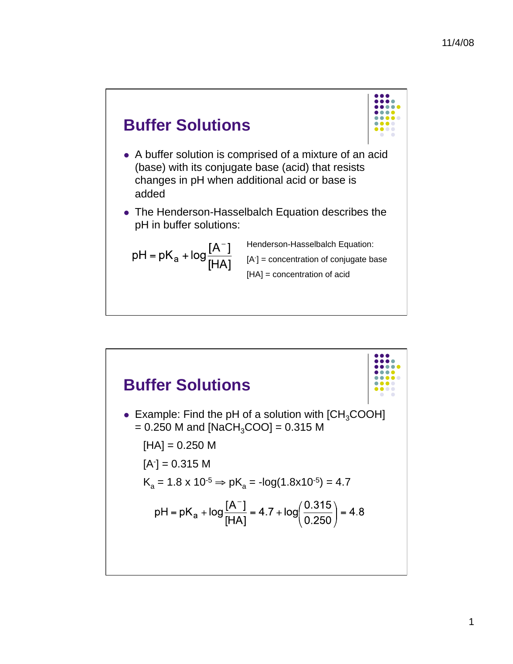

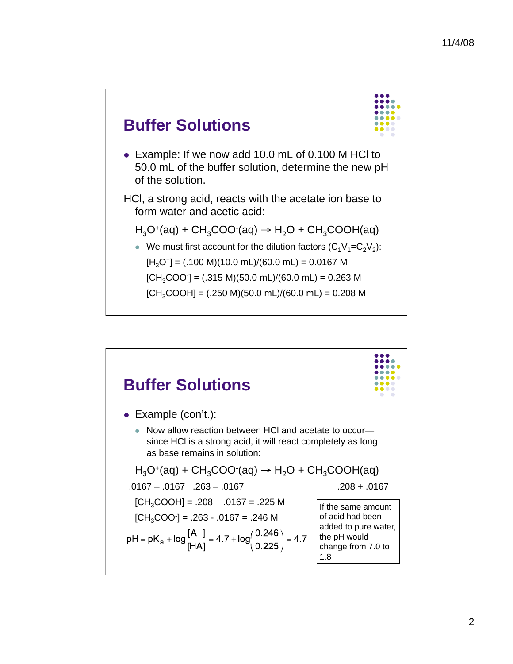

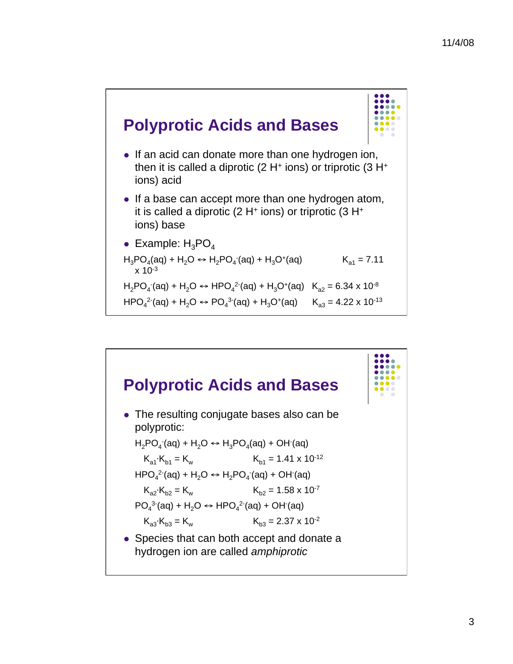

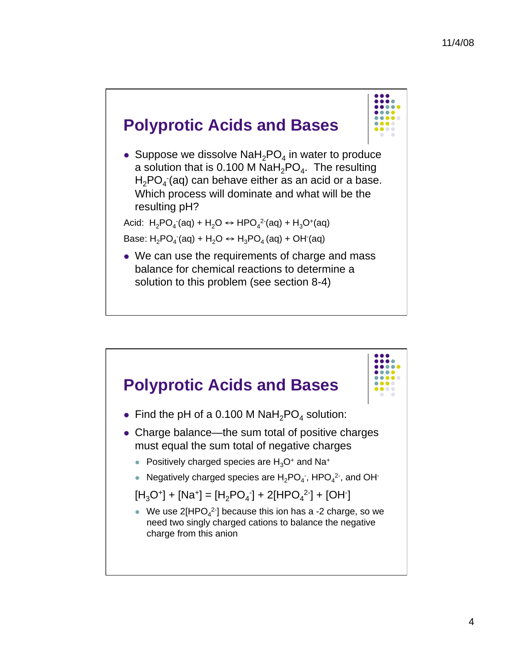

• Suppose we dissolve  $\text{NaH}_2\text{PO}_4$  in water to produce a solution that is 0.100 M NaH<sub>2</sub>PO<sub>4</sub>. The resulting  $H_2$ PO<sub>4</sub> (aq) can behave either as an acid or a base. Which process will dominate and what will be the resulting pH?

Acid: H<sub>2</sub>PO<sub>4</sub> (aq) + H<sub>2</sub>O ↔ HPO<sub>4</sub><sup>2</sup> (aq) + H<sub>3</sub>O<sup>+</sup>(aq) Base: H<sub>2</sub>PO<sub>4</sub> (aq) + H<sub>2</sub>O ↔ H<sub>3</sub>PO<sub>4</sub> (aq) + OH (aq)

• We can use the requirements of charge and mass balance for chemical reactions to determine a solution to this problem (see section 8-4)

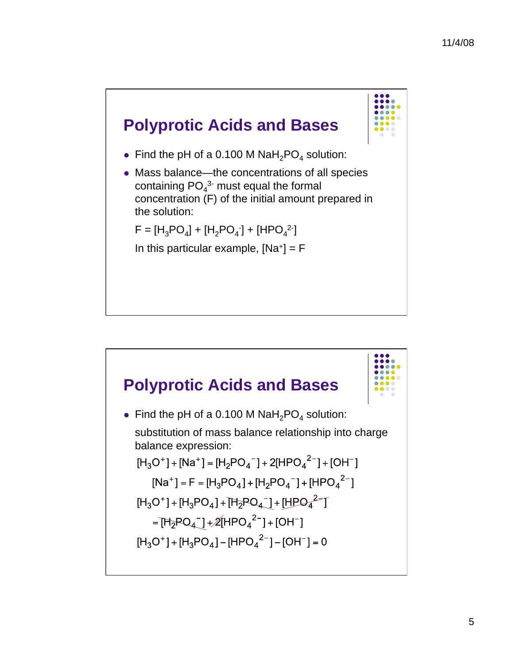

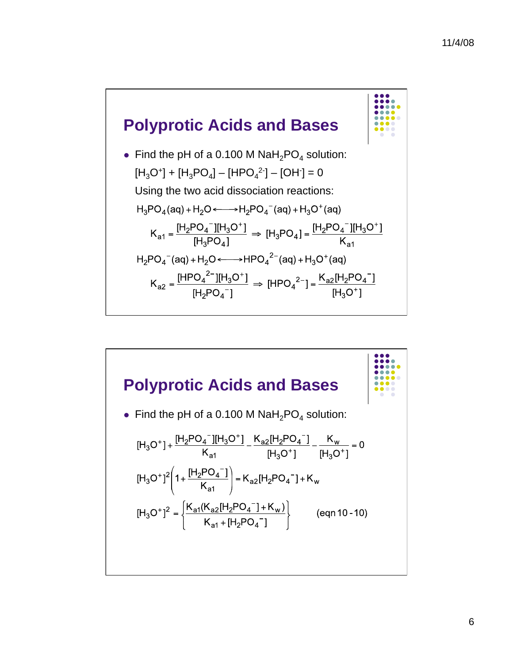

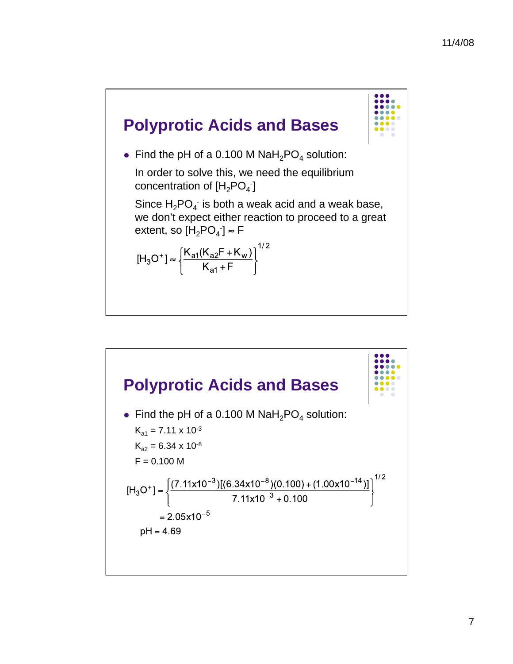

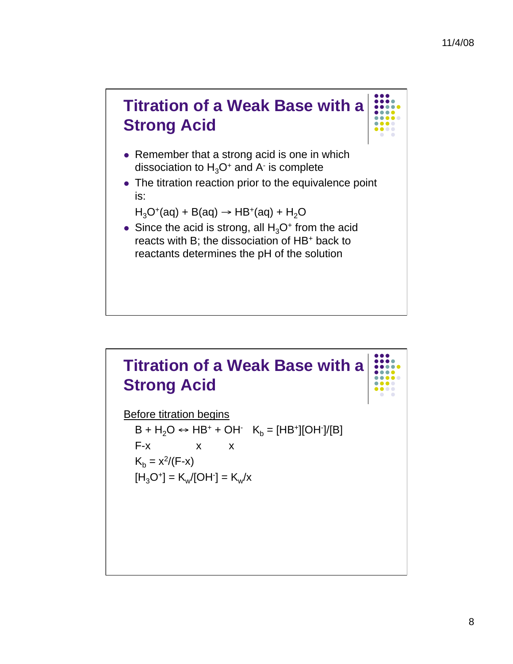

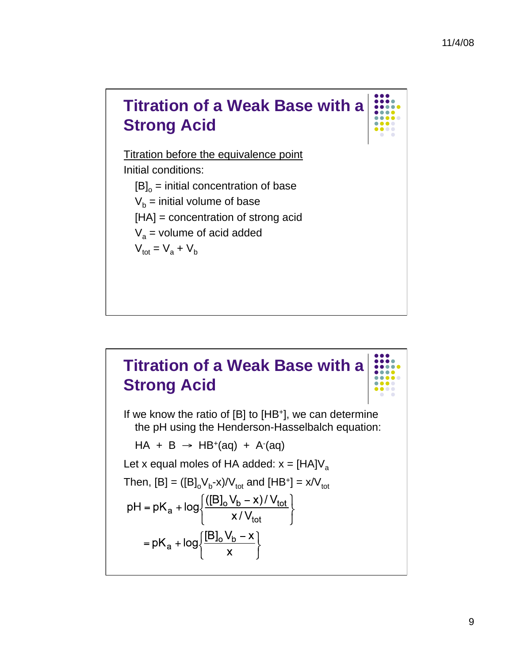## **Titration of a Weak Base with a Strong Acid**  Titration before the equivalence point Initial conditions:  $[B]_o$  = initial concentration of base  $V_b$  = initial volume of base [HA] = concentration of strong acid  $V_a$  = volume of acid added  $V_{\text{tot}} = V_{\text{a}} + V_{\text{b}}$

## **Titration of a Weak Base with a Strong Acid**

If we know the ratio of [B] to [HB+], we can determine the pH using the Henderson-Hasselbalch equation:

 $HA + B \rightarrow HB^{+}(aq) + A^{-}(aq)$ 

Let x equal moles of HA added:  $x = [HA]V_a$ 

Then, [B] = ([B]<sub>o</sub>V<sub>b</sub>-x)/V<sub>tot</sub> and [HB<sup>+</sup>] = x/V<sub>tot</sub>  
 pH = pK<sub>a</sub> + log
$$
\left\{\frac{([B]oVb - x)/Vtot}{x/Vtot} \right\}
$$
  
= pK<sub>a</sub> + log $\left\{\frac{[B]oVb - x}{x} \right\}$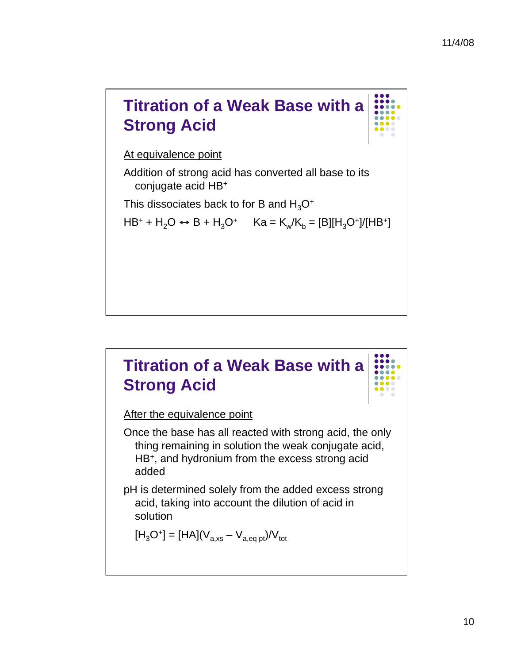